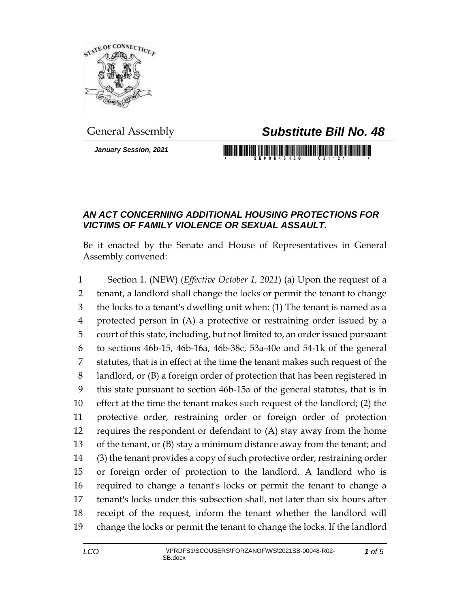

*January Session, 2021*

## General Assembly *Substitute Bill No. 48*

## *AN ACT CONCERNING ADDITIONAL HOUSING PROTECTIONS FOR VICTIMS OF FAMILY VIOLENCE OR SEXUAL ASSAULT.*

Be it enacted by the Senate and House of Representatives in General Assembly convened:

 Section 1. (NEW) (*Effective October 1, 2021*) (a) Upon the request of a tenant, a landlord shall change the locks or permit the tenant to change the locks to a tenant's dwelling unit when: (1) The tenant is named as a protected person in (A) a protective or restraining order issued by a court of this state, including, but not limited to, an order issued pursuant to sections 46b-15, 46b-16a, 46b-38c, 53a-40e and 54-1k of the general statutes, that is in effect at the time the tenant makes such request of the landlord, or (B) a foreign order of protection that has been registered in this state pursuant to section 46b-15a of the general statutes, that is in effect at the time the tenant makes such request of the landlord; (2) the protective order, restraining order or foreign order of protection requires the respondent or defendant to (A) stay away from the home of the tenant, or (B) stay a minimum distance away from the tenant; and (3) the tenant provides a copy of such protective order, restraining order or foreign order of protection to the landlord. A landlord who is required to change a tenant's locks or permit the tenant to change a tenant's locks under this subsection shall, not later than six hours after receipt of the request, inform the tenant whether the landlord will change the locks or permit the tenant to change the locks. If the landlord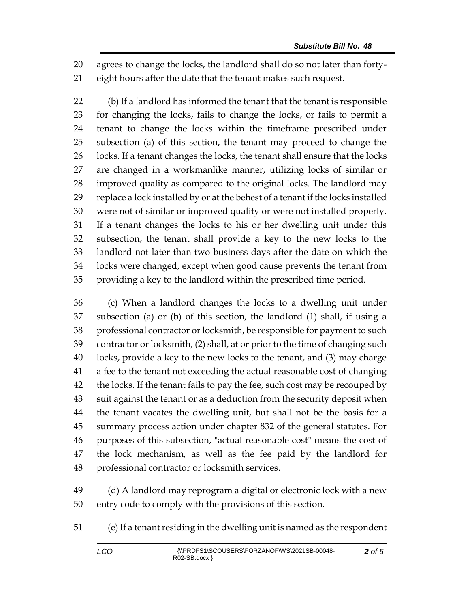agrees to change the locks, the landlord shall do so not later than forty-eight hours after the date that the tenant makes such request.

 (b) If a landlord has informed the tenant that the tenant is responsible for changing the locks, fails to change the locks, or fails to permit a tenant to change the locks within the timeframe prescribed under subsection (a) of this section, the tenant may proceed to change the 26 locks. If a tenant changes the locks, the tenant shall ensure that the locks are changed in a workmanlike manner, utilizing locks of similar or improved quality as compared to the original locks. The landlord may replace a lock installed by or at the behest of a tenant if the locks installed were not of similar or improved quality or were not installed properly. If a tenant changes the locks to his or her dwelling unit under this subsection, the tenant shall provide a key to the new locks to the landlord not later than two business days after the date on which the locks were changed, except when good cause prevents the tenant from providing a key to the landlord within the prescribed time period.

 (c) When a landlord changes the locks to a dwelling unit under subsection (a) or (b) of this section, the landlord (1) shall, if using a professional contractor or locksmith, be responsible for payment to such contractor or locksmith, (2) shall, at or prior to the time of changing such locks, provide a key to the new locks to the tenant, and (3) may charge a fee to the tenant not exceeding the actual reasonable cost of changing 42 the locks. If the tenant fails to pay the fee, such cost may be recouped by suit against the tenant or as a deduction from the security deposit when the tenant vacates the dwelling unit, but shall not be the basis for a summary process action under chapter 832 of the general statutes. For purposes of this subsection, "actual reasonable cost" means the cost of the lock mechanism, as well as the fee paid by the landlord for professional contractor or locksmith services.

 (d) A landlord may reprogram a digital or electronic lock with a new entry code to comply with the provisions of this section.

(e) If a tenant residing in the dwelling unit is named as the respondent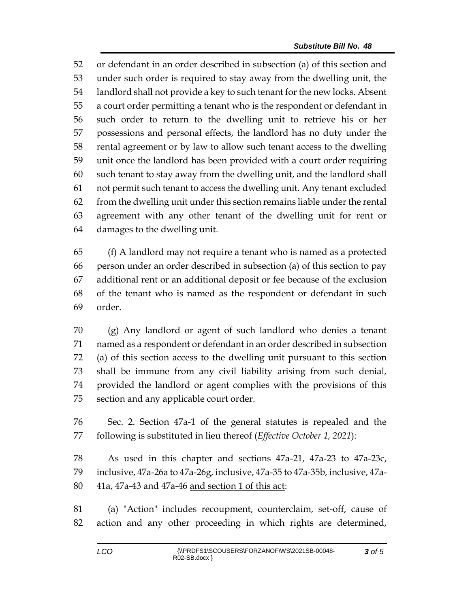or defendant in an order described in subsection (a) of this section and under such order is required to stay away from the dwelling unit, the landlord shall not provide a key to such tenant for the new locks. Absent a court order permitting a tenant who is the respondent or defendant in such order to return to the dwelling unit to retrieve his or her possessions and personal effects, the landlord has no duty under the rental agreement or by law to allow such tenant access to the dwelling unit once the landlord has been provided with a court order requiring such tenant to stay away from the dwelling unit, and the landlord shall not permit such tenant to access the dwelling unit. Any tenant excluded from the dwelling unit under this section remains liable under the rental agreement with any other tenant of the dwelling unit for rent or damages to the dwelling unit.

 (f) A landlord may not require a tenant who is named as a protected person under an order described in subsection (a) of this section to pay additional rent or an additional deposit or fee because of the exclusion of the tenant who is named as the respondent or defendant in such order.

 (g) Any landlord or agent of such landlord who denies a tenant named as a respondent or defendant in an order described in subsection (a) of this section access to the dwelling unit pursuant to this section shall be immune from any civil liability arising from such denial, provided the landlord or agent complies with the provisions of this section and any applicable court order.

 Sec. 2. Section 47a-1 of the general statutes is repealed and the following is substituted in lieu thereof (*Effective October 1, 2021*):

 As used in this chapter and sections 47a-21, 47a-23 to 47a-23c, inclusive, 47a-26a to 47a-26g, inclusive, 47a-35 to 47a-35b, inclusive, 47a-41a, 47a-43 and 47a-46 and section 1 of this act:

 (a) "Action" includes recoupment, counterclaim, set-off, cause of action and any other proceeding in which rights are determined,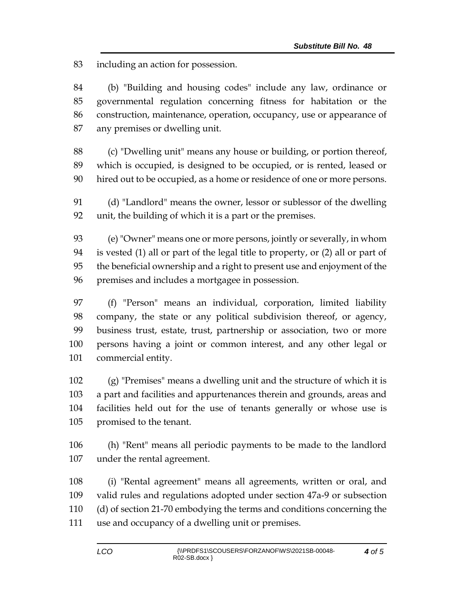including an action for possession.

 (b) "Building and housing codes" include any law, ordinance or governmental regulation concerning fitness for habitation or the construction, maintenance, operation, occupancy, use or appearance of any premises or dwelling unit.

 (c) "Dwelling unit" means any house or building, or portion thereof, which is occupied, is designed to be occupied, or is rented, leased or hired out to be occupied, as a home or residence of one or more persons.

 (d) "Landlord" means the owner, lessor or sublessor of the dwelling unit, the building of which it is a part or the premises.

 (e) "Owner" means one or more persons, jointly or severally, in whom is vested (1) all or part of the legal title to property, or (2) all or part of the beneficial ownership and a right to present use and enjoyment of the premises and includes a mortgagee in possession.

 (f) "Person" means an individual, corporation, limited liability company, the state or any political subdivision thereof, or agency, business trust, estate, trust, partnership or association, two or more persons having a joint or common interest, and any other legal or commercial entity.

 (g) "Premises" means a dwelling unit and the structure of which it is a part and facilities and appurtenances therein and grounds, areas and facilities held out for the use of tenants generally or whose use is promised to the tenant.

 (h) "Rent" means all periodic payments to be made to the landlord under the rental agreement.

 (i) "Rental agreement" means all agreements, written or oral, and valid rules and regulations adopted under section 47a-9 or subsection (d) of section 21-70 embodying the terms and conditions concerning the use and occupancy of a dwelling unit or premises.

*of 5*